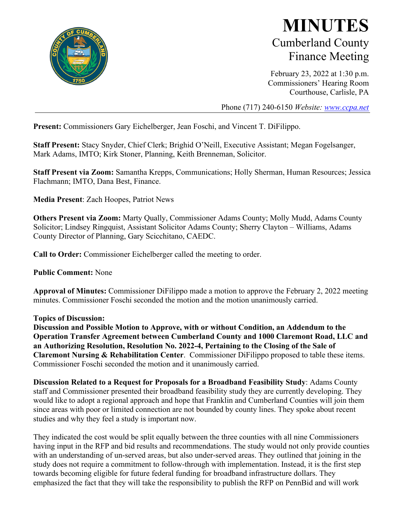

## **MINUTES** Cumberland County Finance Meeting

February 23, 2022 at 1:30 p.m. Commissioners' Hearing Room Courthouse, Carlisle, PA

Phone (717) 240-6150 *Website: [www.ccpa.net](http://www.ccpa.net/)*

**Present:** Commissioners Gary Eichelberger, Jean Foschi, and Vincent T. DiFilippo.

**Staff Present:** Stacy Snyder, Chief Clerk; Brighid O'Neill, Executive Assistant; Megan Fogelsanger, Mark Adams, IMTO; Kirk Stoner, Planning, Keith Brenneman, Solicitor.

**Staff Present via Zoom:** Samantha Krepps, Communications; Holly Sherman, Human Resources; Jessica Flachmann; IMTO, Dana Best, Finance.

**Media Present**: Zach Hoopes, Patriot News

**Others Present via Zoom:** Marty Qually, Commissioner Adams County; Molly Mudd, Adams County Solicitor; Lindsey Ringquist, Assistant Solicitor Adams County; Sherry Clayton – Williams, Adams County Director of Planning, Gary Scicchitano, CAEDC.

**Call to Order:** Commissioner Eichelberger called the meeting to order.

**Public Comment:** None

**Approval of Minutes:** Commissioner DiFilippo made a motion to approve the February 2, 2022 meeting minutes. Commissioner Foschi seconded the motion and the motion unanimously carried.

## **Topics of Discussion:**

**Discussion and Possible Motion to Approve, with or without Condition, an Addendum to the Operation Transfer Agreement between Cumberland County and 1000 Claremont Road, LLC and an Authorizing Resolution, Resolution No. 2022-4, Pertaining to the Closing of the Sale of Claremont Nursing & Rehabilitation Center**. Commissioner DiFilippo proposed to table these items. Commissioner Foschi seconded the motion and it unanimously carried.

**Discussion Related to a Request for Proposals for a Broadband Feasibility Study**: Adams County staff and Commissioner presented their broadband feasibility study they are currently developing. They would like to adopt a regional approach and hope that Franklin and Cumberland Counties will join them since areas with poor or limited connection are not bounded by county lines. They spoke about recent studies and why they feel a study is important now.

They indicated the cost would be split equally between the three counties with all nine Commissioners having input in the RFP and bid results and recommendations. The study would not only provide counties with an understanding of un-served areas, but also under-served areas. They outlined that joining in the study does not require a commitment to follow-through with implementation. Instead, it is the first step towards becoming eligible for future federal funding for broadband infrastructure dollars. They emphasized the fact that they will take the responsibility to publish the RFP on PennBid and will work